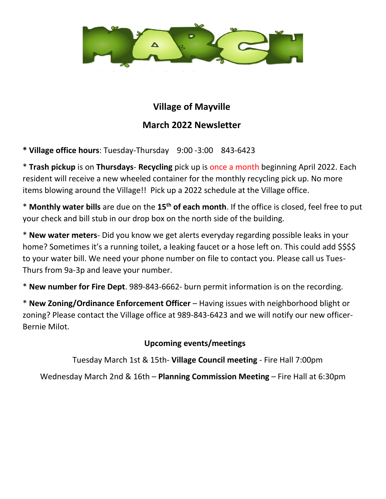

## **Village of Mayville March 2022 Newsletter**

**\* Village office hours**: Tuesday-Thursday 9:00 -3:00 843-6423

\* **Trash pickup** is on **Thursdays**- **Recycling** pick up is once a month beginning April 2022. Each resident will receive a new wheeled container for the monthly recycling pick up. No more items blowing around the Village!! Pick up a 2022 schedule at the Village office.

\* **Monthly water bills** are due on the **15th of each month**. If the office is closed, feel free to put your check and bill stub in our drop box on the north side of the building.

\* **New water meters**- Did you know we get alerts everyday regarding possible leaks in your home? Sometimes it's a running toilet, a leaking faucet or a hose left on. This could add \$\$\$\$ to your water bill. We need your phone number on file to contact you. Please call us Tues-Thurs from 9a-3p and leave your number.

\* **New number for Fire Dept**. 989-843-6662- burn permit information is on the recording.

\* **New Zoning/Ordinance Enforcement Officer** – Having issues with neighborhood blight or zoning? Please contact the Village office at 989-843-6423 and we will notify our new officer-Bernie Milot.

## **Upcoming events/meetings**

Tuesday March 1st & 15th- **Village Council meeting** - Fire Hall 7:00pm

Wednesday March 2nd & 16th – **Planning Commission Meeting** – Fire Hall at 6:30pm